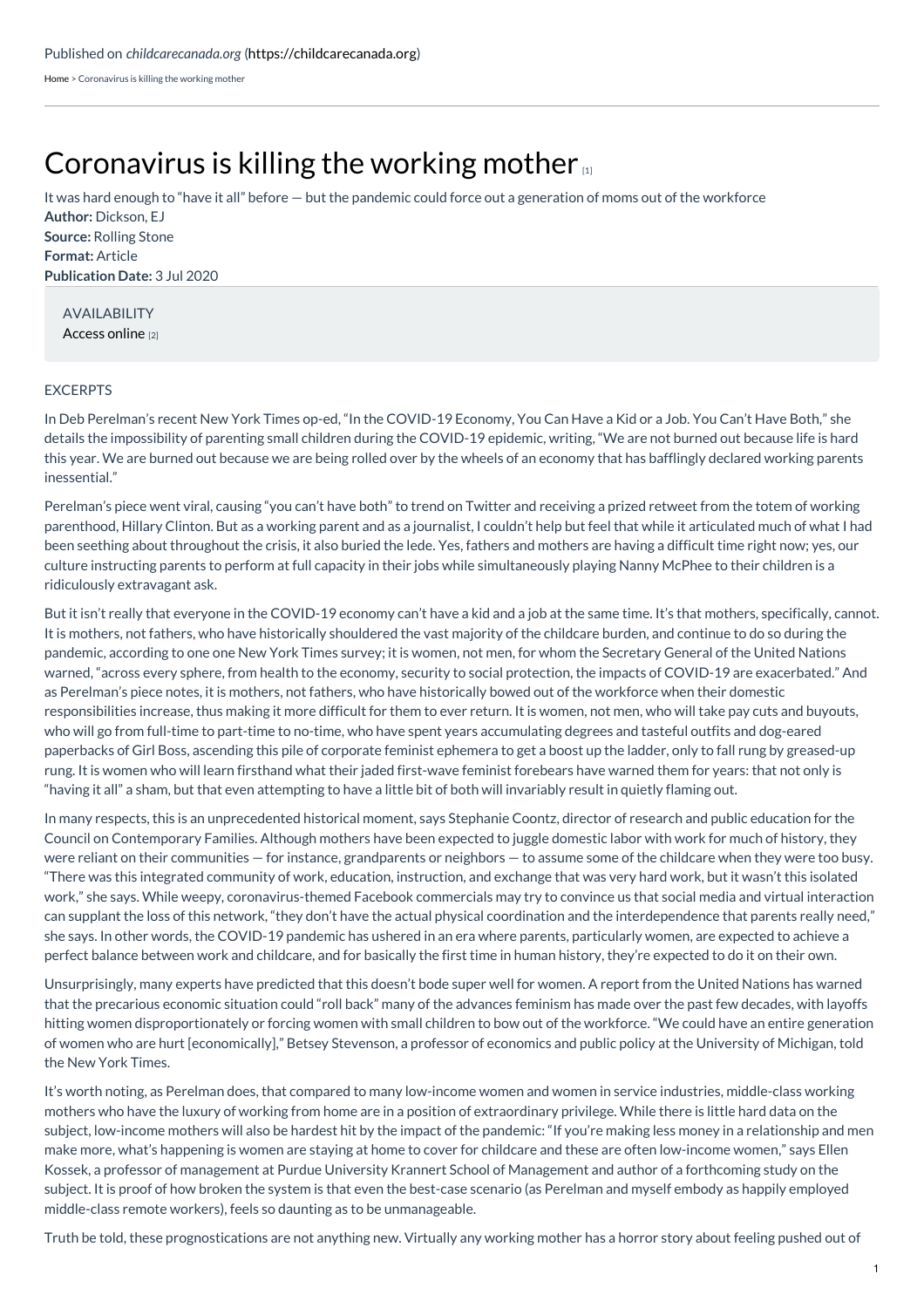[Home](https://childcarecanada.org/) > Coronavirus is killing the working mother

## [Coronavirus](https://childcarecanada.org/documents/child-care-news/20/07/coronavirus-killing-working-mother) is killing the working mother

**Author:** Dickson, EJ **Source:** Rolling Stone **Format:** Article **Publication Date:** 3 Jul 2020 It was hard enough to "have it all" before — but the pandemic could force out a generation of moms out of the workforce

AVAILABILITY [Access](https://www.rollingstone.com/culture/culture-features/working-motherhood-covid-19-coronavirus-1023609/) online [2]

## **EXCERPTS**

In Deb Perelman's recent New York Times op-ed, "In the COVID-19 Economy, You Can Have a Kid or a Job. You Can't Have Both," she details the impossibility of parenting small children during the COVID-19 epidemic, writing, "We are not burned out because life is hard this year. We are burned out because we are being rolled over by the wheels of an economy that has bafflingly declared working parents inessential."

Perelman's piece went viral, causing "you can't have both" to trend on Twitter and receiving a prized retweet from the totem of working parenthood, Hillary Clinton. But as a working parent and as a journalist, I couldn't help but feel that while it articulated much of what I had been seething about throughout the crisis, it also buried the lede. Yes, fathers and mothers are having a difficult time right now; yes, our culture instructing parents to perform at full capacity in their jobs while simultaneously playing Nanny McPhee to their children is a ridiculously extravagant ask.

But it isn't really that everyone in the COVID-19 economy can't have a kid and a job at the same time. It's that mothers, specifically, cannot. It is mothers, not fathers, who have historically shouldered the vast majority of the childcare burden, and continue to do so during the pandemic, according to one one New York Times survey; it is women, not men, for whom the Secretary General of the United Nations warned, "across every sphere, from health to the economy, security to social protection, the impacts of COVID-19 are exacerbated." And as Perelman's piece notes, it is mothers, not fathers, who have historically bowed out of the workforce when their domestic responsibilities increase, thus making it more difficult for them to ever return. It is women, not men, who will take pay cuts and buyouts, who will go from full-time to part-time to no-time, who have spent years accumulating degrees and tasteful outfits and dog-eared paperbacks of Girl Boss, ascending this pile of corporate feminist ephemera to get a boost up the ladder, only to fall rung by greased-up rung. It is women who will learn firsthand what their jaded first-wave feminist forebears have warned them for years: that not only is "having it all" a sham, but that even attempting to have a little bit of both will invariably result in quietly flaming out.

In many respects, this is an unprecedented historical moment, says Stephanie Coontz, director of research and public education for the Council on Contemporary Families. Although mothers have been expected to juggle domestic labor with work for much of history, they were reliant on their communities — for instance, grandparents or neighbors — to assume some of the childcare when they were too busy. "There was this integrated community of work, education, instruction, and exchange that was very hard work, but it wasn't this isolated work," she says. While weepy, coronavirus-themed Facebook commercials may try to convince us that social media and virtual interaction can supplant the loss of this network, "they don't have the actual physical coordination and the interdependence that parents really need," she says. In other words, the COVID-19 pandemic has ushered in an era where parents, particularly women, are expected to achieve a perfect balance between work and childcare, and for basically the first time in human history, they're expected to do it on their own.

Unsurprisingly, many experts have predicted that this doesn't bode super well for women. A report from the United Nations has warned that the precarious economic situation could "roll back" many of the advances feminism has made over the past few decades, with layoffs hitting women disproportionately or forcing women with small children to bow out of the workforce. "We could have an entire generation of women who are hurt [economically]," Betsey Stevenson, a professor of economics and public policy at the University of Michigan, told the New York Times.

It's worth noting, as Perelman does, that compared to many low-income women and women in service industries, middle-class working mothers who have the luxury of working from home are in a position of extraordinary privilege. While there is little hard data on the subject, low-income mothers will also be hardest hit by the impact of the pandemic: "If you're making less money in a relationship and men make more, what's happening is women are staying at home to cover for childcare and these are often low-income women," says Ellen Kossek, a professor of management at Purdue University Krannert School of Management and author of a forthcoming study on the subject. It is proof of how broken the system is that even the best-case scenario (as Perelman and myself embody as happily employed middle-class remote workers), feels so daunting as to be unmanageable.

Truth be told, these prognostications are not anything new. Virtually any working mother has a horror story about feeling pushed out of